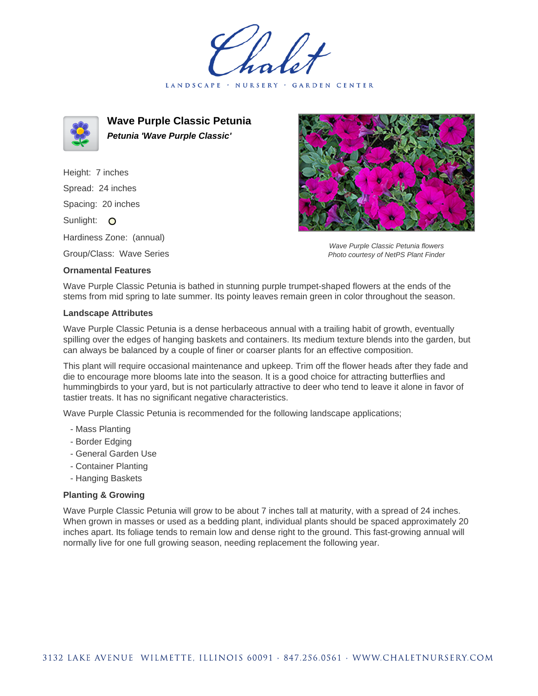LANDSCAPE · NURSERY · GARDEN CENTER



**Wave Purple Classic Petunia Petunia 'Wave Purple Classic'**

Height: 7 inches Spread: 24 inches Spacing: 20 inches Sunlight: O Hardiness Zone: (annual)

Group/Class: Wave Series





Wave Purple Classic Petunia flowers Photo courtesy of NetPS Plant Finder

Wave Purple Classic Petunia is bathed in stunning purple trumpet-shaped flowers at the ends of the stems from mid spring to late summer. Its pointy leaves remain green in color throughout the season.

## **Landscape Attributes**

Wave Purple Classic Petunia is a dense herbaceous annual with a trailing habit of growth, eventually spilling over the edges of hanging baskets and containers. Its medium texture blends into the garden, but can always be balanced by a couple of finer or coarser plants for an effective composition.

This plant will require occasional maintenance and upkeep. Trim off the flower heads after they fade and die to encourage more blooms late into the season. It is a good choice for attracting butterflies and hummingbirds to your yard, but is not particularly attractive to deer who tend to leave it alone in favor of tastier treats. It has no significant negative characteristics.

Wave Purple Classic Petunia is recommended for the following landscape applications;

- Mass Planting
- Border Edging
- General Garden Use
- Container Planting
- Hanging Baskets

## **Planting & Growing**

Wave Purple Classic Petunia will grow to be about 7 inches tall at maturity, with a spread of 24 inches. When grown in masses or used as a bedding plant, individual plants should be spaced approximately 20 inches apart. Its foliage tends to remain low and dense right to the ground. This fast-growing annual will normally live for one full growing season, needing replacement the following year.